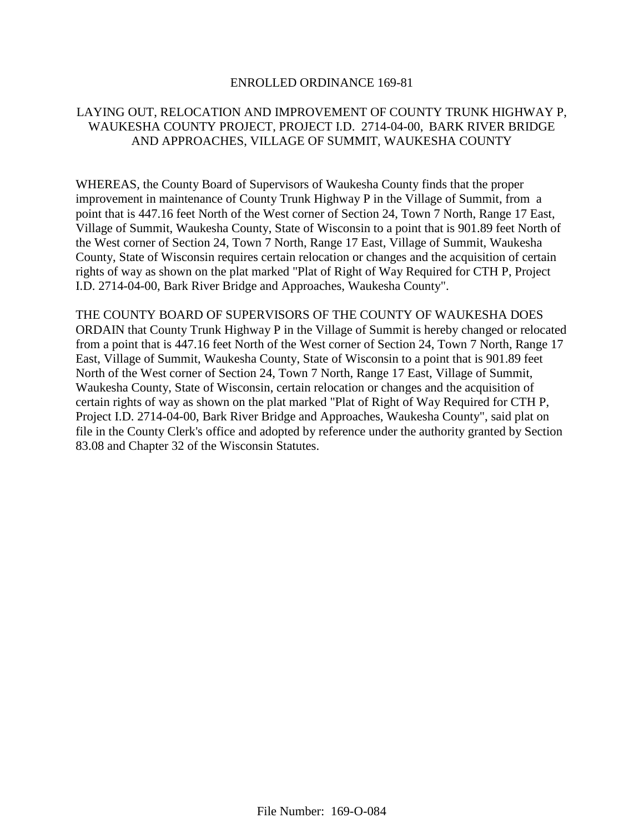## ENROLLED ORDINANCE 169-81

## LAYING OUT, RELOCATION AND IMPROVEMENT OF COUNTY TRUNK HIGHWAY P, WAUKESHA COUNTY PROJECT, PROJECT I.D. 2714-04-00, BARK RIVER BRIDGE AND APPROACHES, VILLAGE OF SUMMIT, WAUKESHA COUNTY

WHEREAS, the County Board of Supervisors of Waukesha County finds that the proper improvement in maintenance of County Trunk Highway P in the Village of Summit, from a point that is 447.16 feet North of the West corner of Section 24, Town 7 North, Range 17 East, Village of Summit, Waukesha County, State of Wisconsin to a point that is 901.89 feet North of the West corner of Section 24, Town 7 North, Range 17 East, Village of Summit, Waukesha County, State of Wisconsin requires certain relocation or changes and the acquisition of certain rights of way as shown on the plat marked "Plat of Right of Way Required for CTH P, Project I.D. 2714-04-00, Bark River Bridge and Approaches, Waukesha County".

THE COUNTY BOARD OF SUPERVISORS OF THE COUNTY OF WAUKESHA DOES ORDAIN that County Trunk Highway P in the Village of Summit is hereby changed or relocated from a point that is 447.16 feet North of the West corner of Section 24, Town 7 North, Range 17 East, Village of Summit, Waukesha County, State of Wisconsin to a point that is 901.89 feet North of the West corner of Section 24, Town 7 North, Range 17 East, Village of Summit, Waukesha County, State of Wisconsin, certain relocation or changes and the acquisition of certain rights of way as shown on the plat marked "Plat of Right of Way Required for CTH P, Project I.D. 2714-04-00, Bark River Bridge and Approaches, Waukesha County", said plat on file in the County Clerk's office and adopted by reference under the authority granted by Section 83.08 and Chapter 32 of the Wisconsin Statutes.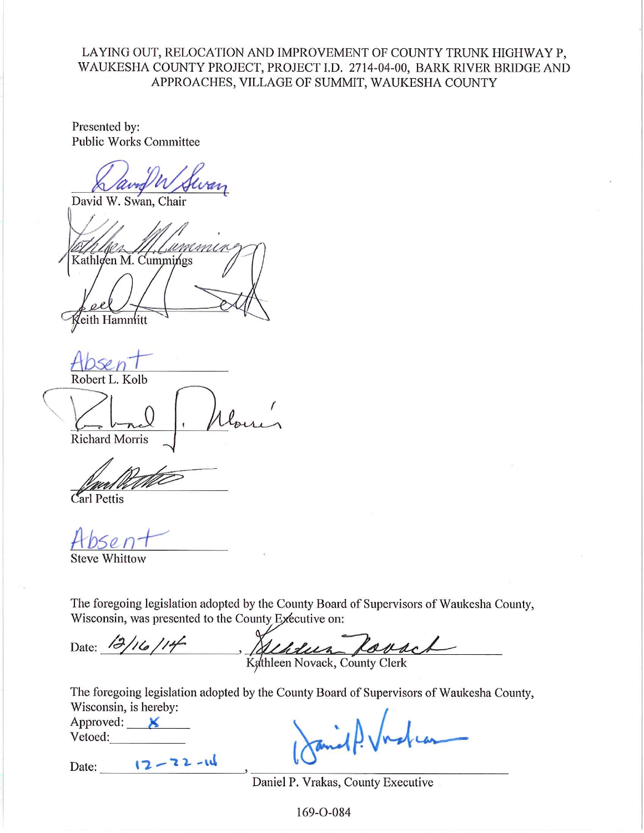LAYING OUT, RELOCATION AND IMPROVEMENT OF COUNTY TRUNK HIGHWAY P, WAUKESHA COUNTY PROJECT, PROJECT I.D. 2714-04-00, BARK RIVER BRIDGE AND APPROACHES, VILLAGE OF SUMMIT, WAUKESHA COUNTY

Presented by: **Public Works Committee** 

David W. Swan, Chair

Kathleen M. Cummings eith Hamniitt

Robert L. Kolb

**Richard Morris** 

Carl Pettis

**Steve Whittow** 

The foregoing legislation adopted by the County Board of Supervisors of Waukesha County, Wisconsin, was presented to the County Executive on:

Date: 12/16/14 Albert Lorach

The foregoing legislation adopted by the County Board of Supervisors of Waukesha County, Wisconsin, is hereby:

| Approved: |  |
|-----------|--|
| Vetoed:   |  |

 $12 - 22 - 11$ Date:

Daniel P. Vrakas, County Executive

169-O-084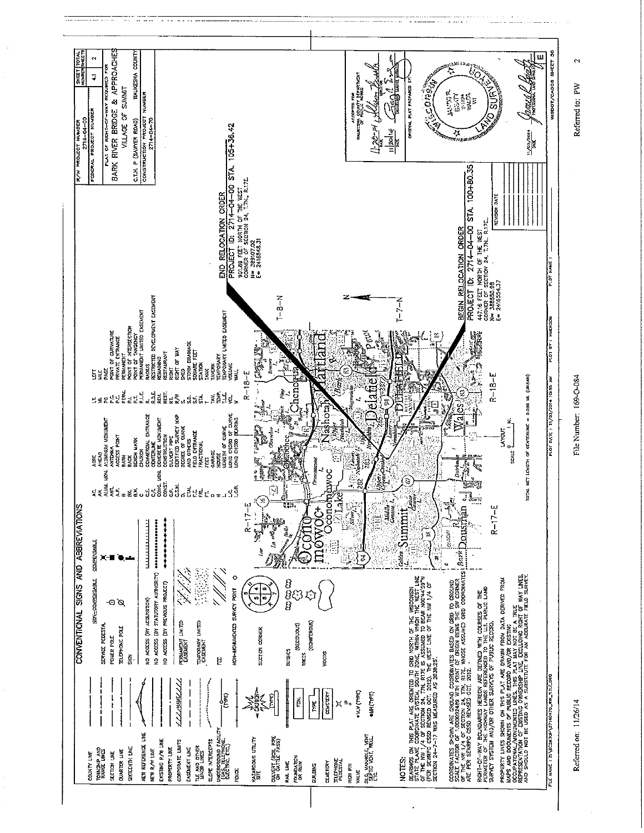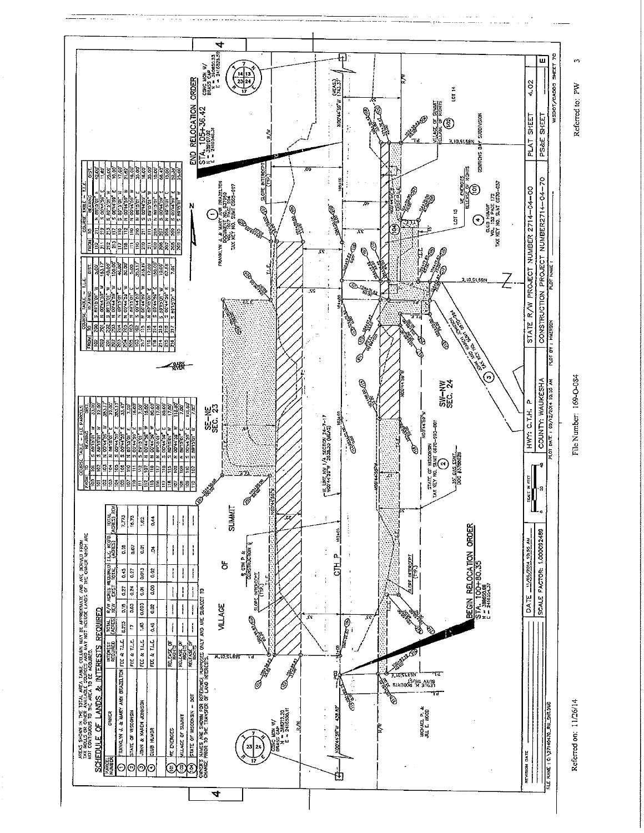